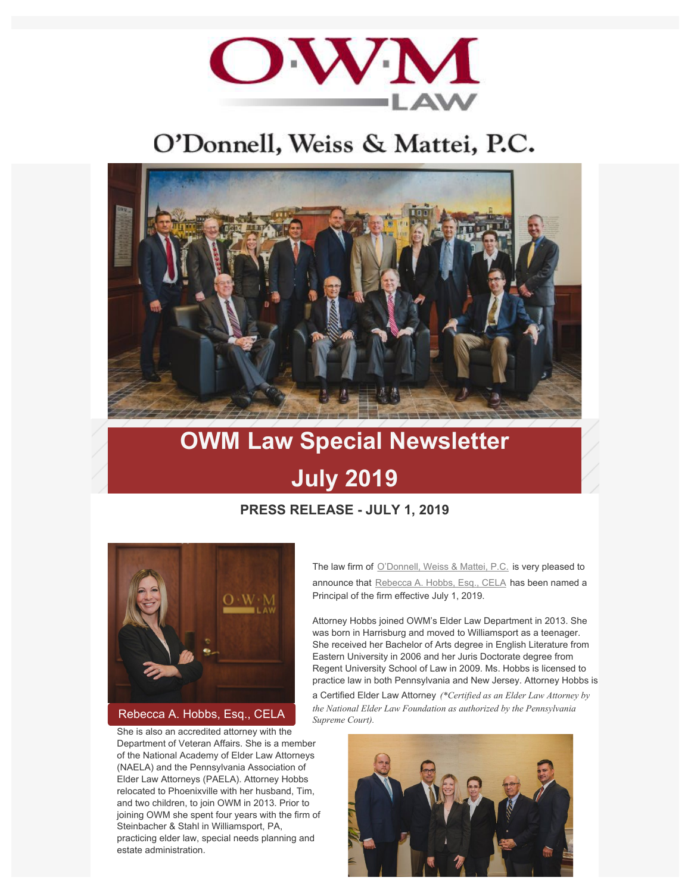

## O'Donnell, Weiss & Mattei, P.C.



# **OWM Law Special Newsletter July 2019**

### **PRESS RELEASE - JULY 1, 2019**



#### [Rebecca A. Hobbs, Esq., CELA](https://www.owmlaw.com/attorney/hobbs-rebecca-a-cela/)

She is also an accredited attorney with the Department of Veteran Affairs. She is a member of the National Academy of Elder Law Attorneys (NAELA) and the Pennsylvania Association of Elder Law Attorneys (PAELA). Attorney Hobbs relocated to Phoenixville with her husband, Tim, and two children, to join OWM in 2013. Prior to joining OWM she spent four years with the firm of Steinbacher & Stahl in Williamsport, PA, practicing elder law, special needs planning and estate administration.

The law firm of [O'Donnell, Weiss & Mattei, P.C.](https://www.owmlaw.com/) is very pleased to announce that [Rebecca A. Hobbs, Esq., CELA](https://www.owmlaw.com/attorney/hobbs-rebecca-a-cela/) has been named a Principal of the firm effective July 1, 2019.

Attorney Hobbs joined OWM's Elder Law Department in 2013. She was born in Harrisburg and moved to Williamsport as a teenager. She received her Bachelor of Arts degree in English Literature from Eastern University in 2006 and her Juris Doctorate degree from Regent University School of Law in 2009. Ms. Hobbs is licensed to practice law in both Pennsylvania and New Jersey. Attorney Hobbs is

a Certified Elder Law Attorney *(\*Certified as an Elder Law Attorney by the National Elder Law Foundation as authorized by the Pennsylvania Supreme Court).*